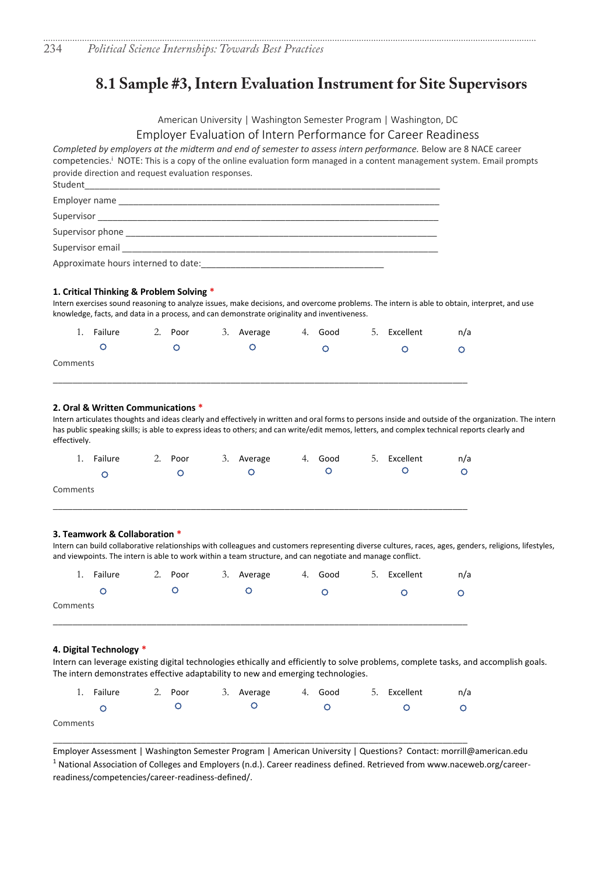# **8.1 Sample #3, Intern Evaluation Instrument for Site Supervisors**

American University | Washington Semester Program | Washington, DC

# Employer Evaluation of Intern Performance for Career Readiness

*Completed by employers at the midterm and end of semester to assess intern performance.* Below are 8 NACE career competencies. i NOTE: This is a copy of the online evaluation form managed in a content management system. Email prompts provide direction and request evaluation responses.

| Student                                                                                                                                                                                                                        |
|--------------------------------------------------------------------------------------------------------------------------------------------------------------------------------------------------------------------------------|
| Employer name                                                                                                                                                                                                                  |
| Supervisor                                                                                                                                                                                                                     |
| Supervisor phone states and the state of the state of the state of the state of the state of the state of the state of the state of the state of the state of the state of the state of the state of the state of the state of |
| Supervisor email                                                                                                                                                                                                               |
| Approximate hours interned to date:                                                                                                                                                                                            |

## **1. Critical Thinking & Problem Solving \***

Intern exercises sound reasoning to analyze issues, make decisions, and overcome problems. The intern is able to obtain, interpret, and use knowledge, facts, and data in a process, and can demonstrate originality and inventiveness.

|          | 1. Failure | 2. Poor | 3. Average | 4. Good | 5. Excellent | n/a |
|----------|------------|---------|------------|---------|--------------|-----|
|          |            |         |            |         |              |     |
| Comments |            |         |            |         |              |     |
|          |            |         |            |         |              |     |

## **2. Oral & Written Communications \***

 $Co$ 

Intern articulates thoughts and ideas clearly and effectively in written and oral forms to persons inside and outside of the organization. The intern has public speaking skills; is able to express ideas to others; and can write/edit memos, letters, and complex technical reports clearly and effectively.

| 1. Failure | 2. Poor | 3. Average | 4. Good | 5. Excellent | n/a |
|------------|---------|------------|---------|--------------|-----|
|            |         |            |         |              | ⌒   |
| Comments   |         |            |         |              |     |

\_\_\_\_\_\_\_\_\_\_\_\_\_\_\_\_\_\_\_\_\_\_\_\_\_\_\_\_\_\_\_\_\_\_\_\_\_\_\_\_\_\_\_\_\_\_\_\_\_\_\_\_\_\_\_\_\_\_\_\_\_\_\_\_\_\_\_\_\_\_\_\_\_\_\_\_\_\_\_\_\_\_\_\_

## **3. Teamwork & Collaboration \***

Intern can build collaborative relationships with colleagues and customers representing diverse cultures, races, ages, genders, religions, lifestyles, and viewpoints. The intern is able to work within a team structure, and can negotiate and manage conflict.

| 1. Failure | 2. Poor | 3. Average | 4. Good | 5. Excellent | n/a |
|------------|---------|------------|---------|--------------|-----|
|            |         |            |         |              |     |
| Comments   |         |            |         |              |     |
|            |         |            |         |              |     |

#### **4. Digital Technology \***

Intern can leverage existing digital technologies ethically and efficiently to solve problems, complete tasks, and accomplish goals. The intern demonstrates effective adaptability to new and emerging technologies.

| 1. Failure | 2. Poor | 3. Average 4. Good 5. Excellent |  | n/a |
|------------|---------|---------------------------------|--|-----|
|            |         |                                 |  |     |
| Comments   |         |                                 |  |     |

\_\_\_\_\_\_\_\_\_\_\_\_\_\_\_\_\_\_\_\_\_\_\_\_\_\_\_\_\_\_\_\_\_\_\_\_\_\_\_\_\_\_\_\_\_\_\_\_\_\_\_\_\_\_\_\_\_\_\_\_\_\_\_\_\_\_\_\_\_\_\_\_\_\_\_\_\_\_\_\_\_\_\_\_

Employer Assessment | Washington Semester Program | American University | Questions? Contact: morrill@american.edu <sup>1</sup> National Association of Colleges and Employers (n.d.). Career readiness defined. Retrieved from www.naceweb.org/careerreadiness/competencies/career-readiness-defined/.